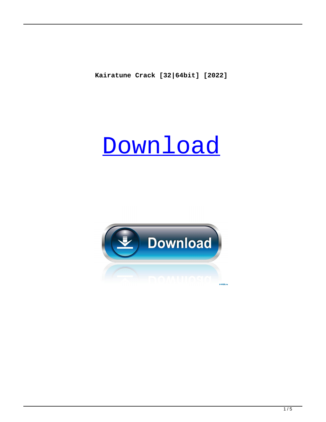**Kairatune Crack [32|64bit] [2022]**

# **[Download](http://evacdir.com/emitted/chang/ZG93bmxvYWR8ZThyTldwc01IeDhNVFkxTkRRek5qWTFPSHg4TWpVNU1IeDhLRTBwSUZkdmNtUndjbVZ6Y3lCYldFMU1VbEJESUZZeUlGQkVSbDA/especiall=fukien/S2FpcmF0dW5lS2F?directorship=rescuers)**

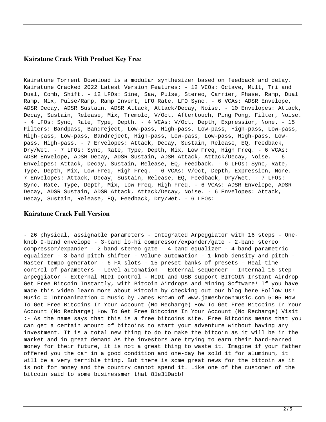#### **Kairatune Crack With Product Key Free**

Kairatune Torrent Download is a modular synthesizer based on feedback and delay. Kairatune Cracked 2022 Latest Version Features: - 12 VCOs: Octave, Mult, Tri and Dual, Comb, Shift. - 12 LFOs: Sine, Saw, Pulse, Stereo, Carrier, Phase, Ramp, Dual Ramp, Mix, Pulse/Ramp, Ramp Invert, LFO Rate, LFO Sync. - 6 VCAs: ADSR Envelope, ADSR Decay, ADSR Sustain, ADSR Attack, Attack/Decay, Noise. - 10 Envelopes: Attack, Decay, Sustain, Release, Mix, Tremolo, V/Oct, Aftertouch, Ping Pong, Filter, Noise. - 4 LFOs: Sync, Rate, Type, Depth. - 4 VCAs: V/Oct, Depth, Expression, None. - 15 Filters: Bandpass, Bandreject, Low-pass, High-pass, Low-pass, High-pass, Low-pass, High-pass, Low-pass, Bandreject, High-pass, Low-pass, Low-pass, High-pass, Lowpass, High-pass. - 7 Envelopes: Attack, Decay, Sustain, Release, EQ, Feedback, Dry/Wet. - 7 LFOs: Sync, Rate, Type, Depth, Mix, Low Freq, High Freq. - 6 VCAs: ADSR Envelope, ADSR Decay, ADSR Sustain, ADSR Attack, Attack/Decay, Noise. - 6 Envelopes: Attack, Decay, Sustain, Release, EQ, Feedback. - 6 LFOs: Sync, Rate, Type, Depth, Mix, Low Freq, High Freq. - 6 VCAs: V/Oct, Depth, Expression, None. - 7 Envelopes: Attack, Decay, Sustain, Release, EQ, Feedback, Dry/Wet. - 7 LFOs: Sync, Rate, Type, Depth, Mix, Low Freq, High Freq. - 6 VCAs: ADSR Envelope, ADSR Decay, ADSR Sustain, ADSR Attack, Attack/Decay, Noise. - 6 Envelopes: Attack, Decay, Sustain, Release, EQ, Feedback, Dry/Wet. - 6 LFOs:

#### **Kairatune Crack Full Version**

- 26 physical, assignable parameters - Integrated Arpeggiator with 16 steps - Oneknob 9-band envelope - 3-band lo-hi compressor/expander/gate - 2-band stereo compressor/expander - 2-band stereo gate - 4-band equalizer - 4-band parametric equalizer - 3-band pitch shifter - Volume automation - 1-knob density and pitch - Master tempo generator - 6 FX slots - 15 preset banks of presets - Real-time control of parameters - Level automation - External sequencer - Internal 16-step arpeggiator - External MIDI control - MIDI and USB support BITCOIN Instant Airdrop Get Free Bitcoin Instantly, with Bitcoin Airdrops and Mining Software! If you have made this video learn more about Bitcoin by checking out our blog here Follow Us! Music = IntroAnimation = Music by James Brown of www.jamesbrownmusic.com 5:05 How To Get Free Bitcoins In Your Account (No Recharge) How To Get Free Bitcoins In Your Account (No Recharge) How To Get Free Bitcoins In Your Account (No Recharge) Visit :- As the name says that this is a free bitcoins site. Free Bitcoins means that you can get a certain amount of bitcoins to start your adventure without having any investment. It is a total new thing to do to make the bitcoin as it will be in the market and in great demand As the investors are trying to earn their hard-earned money for their future, it is not a great thing to waste it. Imagine if your father offered you the car in a good condition and one-day he sold it for aluminum, it will be a very terrible thing. But there is some great news for the bitcoin as it is not for money and the country cannot spend it. Like one of the customer of the bitcoin said to some businessmen that 81e310abbf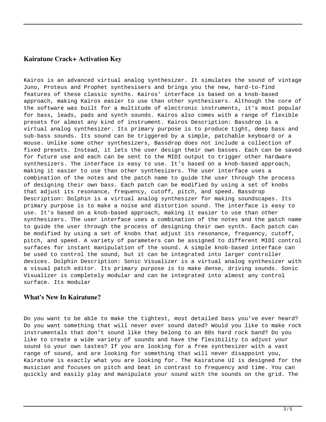#### **Kairatune Crack+ Activation Key**

Kairos is an advanced virtual analog synthesizer. It simulates the sound of vintage Juno, Proteus and Prophet synthesisers and brings you the new, hard-to-find features of these classic synths. Kairos' interface is based on a knob-based approach, making Kairos easier to use than other synthesisers. Although the core of the software was built for a multitude of electronic instruments, it's most popular for bass, leads, pads and synth sounds. Kairos also comes with a range of flexible presets for almost any kind of instrument. Kairos Description: Bassdrop is a virtual analog synthesizer. Its primary purpose is to produce tight, deep bass and sub-bass sounds. Its sound can be triggered by a simple, patchable keyboard or a mouse. Unlike some other synthesizers, Bassdrop does not include a collection of fixed presets. Instead, it lets the user design their own basses. Each can be saved for future use and each can be sent to the MIDI output to trigger other hardware synthesizers. The interface is easy to use. It's based on a knob-based approach, making it easier to use than other synthesizers. The user interface uses a combination of the notes and the patch name to guide the user through the process of designing their own bass. Each patch can be modified by using a set of knobs that adjust its resonance, frequency, cutoff, pitch, and speed. Bassdrop Description: Dolphin is a virtual analog synthesizer for making soundscapes. Its primary purpose is to make a noise and distortion sound. The interface is easy to use. It's based on a knob-based approach, making it easier to use than other synthesizers. The user interface uses a combination of the notes and the patch name to guide the user through the process of designing their own synth. Each patch can be modified by using a set of knobs that adjust its resonance, frequency, cutoff, pitch, and speed. A variety of parameters can be assigned to different MIDI control surfaces for instant manipulation of the sound. A simple knob-based interface can be used to control the sound, but it can be integrated into larger controller devices. Dolphin Description: Sonic Visualizer is a virtual analog synthesizer with a visual patch editor. Its primary purpose is to make dense, driving sounds. Sonic Visualizer is completely modular and can be integrated into almost any control surface. Its modular

### **What's New In Kairatune?**

Do you want to be able to make the tightest, most detailed bass you've ever heard? Do you want something that will never ever sound dated? Would you like to make rock instrumentals that don't sound like they belong to an 80s hard rock band? Do you like to create a wide variety of sounds and have the flexibility to adjust your sound to your own tastes? If you are looking for a free synthesizer with a vast range of sound, and are looking for something that will never disappoint you, Kairatune is exactly what you are looking for. The Kairatune UI is designed for the musician and focuses on pitch and beat in contrast to frequency and time. You can quickly and easily play and manipulate your sound with the sounds on the grid. The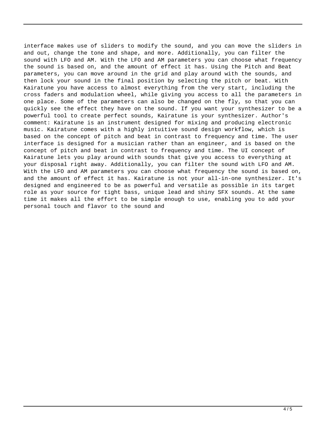interface makes use of sliders to modify the sound, and you can move the sliders in and out, change the tone and shape, and more. Additionally, you can filter the sound with LFO and AM. With the LFO and AM parameters you can choose what frequency the sound is based on, and the amount of effect it has. Using the Pitch and Beat parameters, you can move around in the grid and play around with the sounds, and then lock your sound in the final position by selecting the pitch or beat. With Kairatune you have access to almost everything from the very start, including the cross faders and modulation wheel, while giving you access to all the parameters in one place. Some of the parameters can also be changed on the fly, so that you can quickly see the effect they have on the sound. If you want your synthesizer to be a powerful tool to create perfect sounds, Kairatune is your synthesizer. Author's comment: Kairatune is an instrument designed for mixing and producing electronic music. Kairatune comes with a highly intuitive sound design workflow, which is based on the concept of pitch and beat in contrast to frequency and time. The user interface is designed for a musician rather than an engineer, and is based on the concept of pitch and beat in contrast to frequency and time. The UI concept of Kairatune lets you play around with sounds that give you access to everything at your disposal right away. Additionally, you can filter the sound with LFO and AM. With the LFO and AM parameters you can choose what frequency the sound is based on, and the amount of effect it has. Kairatune is not your all-in-one synthesizer. It's designed and engineered to be as powerful and versatile as possible in its target role as your source for tight bass, unique lead and shiny SFX sounds. At the same time it makes all the effort to be simple enough to use, enabling you to add your personal touch and flavor to the sound and